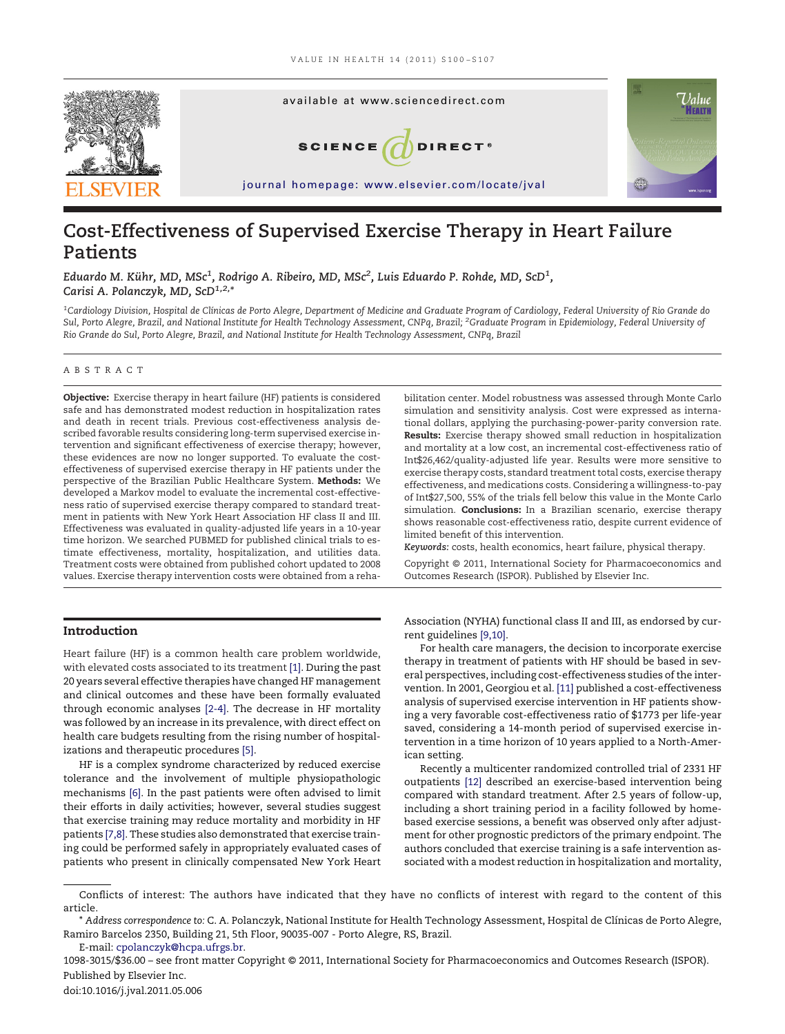

# **Cost-Effectiveness of Supervised Exercise Therapy in Heart Failure Patients**

Eduardo M. Kühr, MD, MSc<sup>1</sup>, Rodrigo A. Ribeiro, MD, MSc<sup>2</sup>, Luis Eduardo P. Rohde, MD, ScD<sup>1</sup>, *Carisi A. Polanczyk, MD, ScD1,2,\**

*1 Cardiology Division, Hospital de Clínicas de Porto Alegre, Department of Medicine and Graduate Program of Cardiology, Federal University of Rio Grande do Sul, Porto Alegre, Brazil, and National Institute for Health Technology Assessment, CNPq, Brazil; <sup>2</sup> Graduate Program in Epidemiology, Federal University of Rio Grande do Sul, Porto Alegre, Brazil, and National Institute for Health Technology Assessment, CNPq, Brazil*

#### ABSTRACT

**Objective:** Exercise therapy in heart failure (HF) patients is considered safe and has demonstrated modest reduction in hospitalization rates and death in recent trials. Previous cost-effectiveness analysis described favorable results considering long-term supervised exercise intervention and significant effectiveness of exercise therapy; however, these evidences are now no longer supported. To evaluate the costeffectiveness of supervised exercise therapy in HF patients under the perspective of the Brazilian Public Healthcare System. **Methods:** We developed a Markov model to evaluate the incremental cost-effectiveness ratio of supervised exercise therapy compared to standard treatment in patients with New York Heart Association HF class II and III. Effectiveness was evaluated in quality-adjusted life years in a 10-year time horizon. We searched PUBMED for published clinical trials to estimate effectiveness, mortality, hospitalization, and utilities data. Treatment costs were obtained from published cohort updated to 2008 values. Exercise therapy intervention costs were obtained from a reha-

## **Introduction**

Heart failure (HF) is a common health care problem worldwide, with elevated costs associated to its treatment [\[1\].](#page--1-0) During the past 20 years several effective therapies have changed HF management and clinical outcomes and these have been formally evaluated through economic analyses [\[2-4\].](#page--1-1) The decrease in HF mortality was followed by an increase in its prevalence, with direct effect on health care budgets resulting from the rising number of hospitalizations and therapeutic procedures [\[5\].](#page--1-2)

HF is a complex syndrome characterized by reduced exercise tolerance and the involvement of multiple physiopathologic mechanisms [\[6\].](#page--1-3) In the past patients were often advised to limit their efforts in daily activities; however, several studies suggest that exercise training may reduce mortality and morbidity in HF patients [\[7,8\].](#page--1-4) These studies also demonstrated that exercise training could be performed safely in appropriately evaluated cases of patients who present in clinically compensated New York Heart

bilitation center. Model robustness was assessed through Monte Carlo simulation and sensitivity analysis. Cost were expressed as international dollars, applying the purchasing-power-parity conversion rate. **Results:** Exercise therapy showed small reduction in hospitalization and mortality at a low cost, an incremental cost-effectiveness ratio of Int\$26,462/quality-adjusted life year. Results were more sensitive to exercise therapy costs, standard treatment total costs, exercise therapy effectiveness, and medications costs. Considering a willingness-to-pay of Int\$27,500, 55% of the trials fell below this value in the Monte Carlo simulation. **Conclusions:** In a Brazilian scenario, exercise therapy shows reasonable cost-effectiveness ratio, despite current evidence of limited benefit of this intervention.

*Keywords:* costs, health economics, heart failure, physical therapy.

Copyright © 2011, International Society for Pharmacoeconomics and Outcomes Research (ISPOR). Published by Elsevier Inc.

Association (NYHA) functional class II and III, as endorsed by current guidelines [\[9,10\].](#page--1-5)

For health care managers, the decision to incorporate exercise therapy in treatment of patients with HF should be based in several perspectives, including cost-effectiveness studies of the intervention. In 2001, Georgiou et al. [\[11\]](#page--1-6) published a cost-effectiveness analysis of supervised exercise intervention in HF patients showing a very favorable cost-effectiveness ratio of \$1773 per life-year saved, considering a 14-month period of supervised exercise intervention in a time horizon of 10 years applied to a North-American setting.

Recently a multicenter randomized controlled trial of 2331 HF outpatients [\[12\]](#page--1-7) described an exercise-based intervention being compared with standard treatment. After 2.5 years of follow-up, including a short training period in a facility followed by homebased exercise sessions, a benefit was observed only after adjustment for other prognostic predictors of the primary endpoint. The authors concluded that exercise training is a safe intervention associated with a modest reduction in hospitalization and mortality,

1098-3015/\$36.00 – see front matter Copyright © 2011, International Society for Pharmacoeconomics and Outcomes Research (ISPOR). Published by Elsevier Inc.

Conflicts of interest: The authors have indicated that they have no conflicts of interest with regard to the content of this article.

<sup>\*</sup> *Address correspondence to:* C. A. Polanczyk, National Institute for Health Technology Assessment, Hospital de Clínicas de Porto Alegre, Ramiro Barcelos 2350, Building 21, 5th Floor, 90035-007 - Porto Alegre, RS, Brazil. E-mail: [cpolanczyk@hcpa.ufrgs.br.](mailto:cpolanczyk@hcpa.ufrgs.br)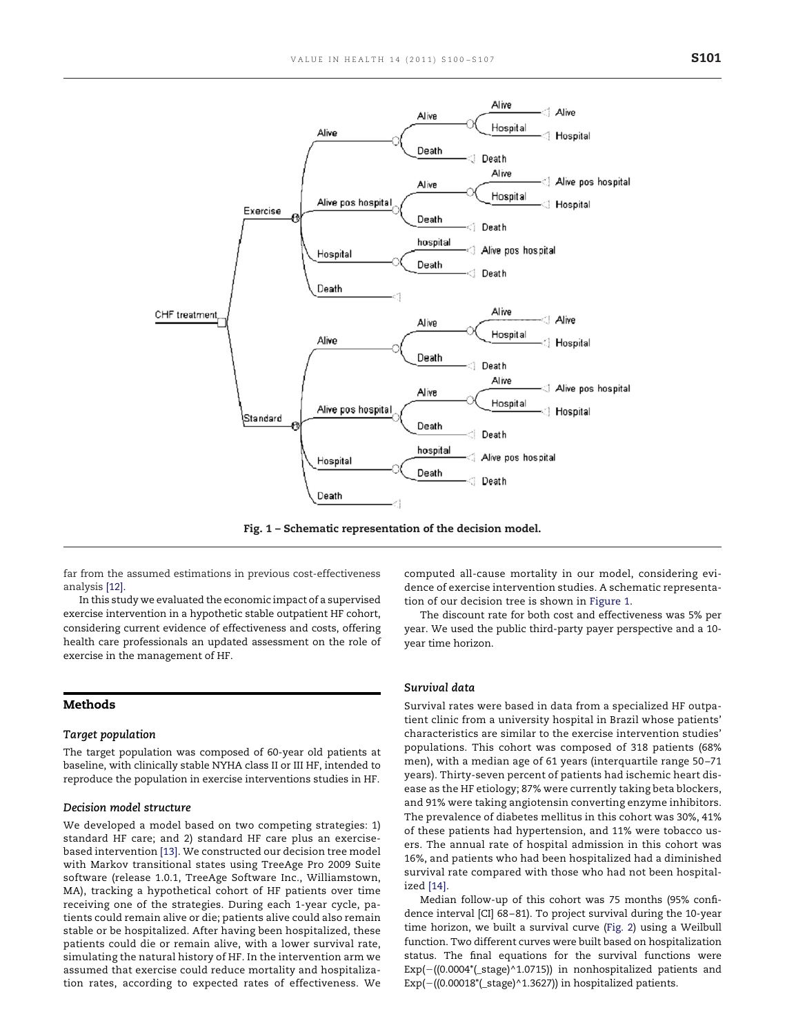

<span id="page-1-0"></span>**Fig. 1 – Schematic representation of the decision model.**

far from the assumed estimations in previous cost-effectiveness analysis [\[12\].](#page--1-7)

In this study we evaluated the economic impact of a supervised exercise intervention in a hypothetic stable outpatient HF cohort, considering current evidence of effectiveness and costs, offering health care professionals an updated assessment on the role of exercise in the management of HF.

## **Methods**

#### *Target population*

The target population was composed of 60-year old patients at baseline, with clinically stable NYHA class II or III HF, intended to reproduce the population in exercise interventions studies in HF.

# *Decision model structure*

We developed a model based on two competing strategies: 1) standard HF care; and 2) standard HF care plus an exercisebased intervention [\[13\].](#page--1-8) We constructed our decision tree model with Markov transitional states using TreeAge Pro 2009 Suite software (release 1.0.1, TreeAge Software Inc., Williamstown, MA), tracking a hypothetical cohort of HF patients over time receiving one of the strategies. During each 1-year cycle, patients could remain alive or die; patients alive could also remain stable or be hospitalized. After having been hospitalized, these patients could die or remain alive, with a lower survival rate, simulating the natural history of HF. In the intervention arm we assumed that exercise could reduce mortality and hospitalization rates, according to expected rates of effectiveness. We computed all-cause mortality in our model, considering evidence of exercise intervention studies. A schematic representation of our decision tree is shown in [Figure 1.](#page-1-0)

The discount rate for both cost and effectiveness was 5% per year. We used the public third-party payer perspective and a 10 year time horizon.

#### *Survival data*

Survival rates were based in data from a specialized HF outpatient clinic from a university hospital in Brazil whose patients' characteristics are similar to the exercise intervention studies' populations. This cohort was composed of 318 patients (68% men), with a median age of 61 years (interquartile range 50 –71 years). Thirty-seven percent of patients had ischemic heart disease as the HF etiology; 87% were currently taking beta blockers, and 91% were taking angiotensin converting enzyme inhibitors. The prevalence of diabetes mellitus in this cohort was 30%, 41% of these patients had hypertension, and 11% were tobacco users. The annual rate of hospital admission in this cohort was 16%, and patients who had been hospitalized had a diminished survival rate compared with those who had not been hospitalized [\[14\].](#page--1-9)

Median follow-up of this cohort was 75 months (95% confidence interval [CI] 68 – 81). To project survival during the 10-year time horizon, we built a survival curve [\(Fig. 2\)](#page--1-10) using a Weilbull function. Two different curves were built based on hospitalization status. The final equations for the survival functions were  $Exp(-( (0.0004^{\ast}(-\text{stage})^{\wedge}1.0715))$  in nonhospitalized patients and  $Exp(-(0.00018^{\ast}(-\text{stage})^{\wedge}1.3627))$  in hospitalized patients.